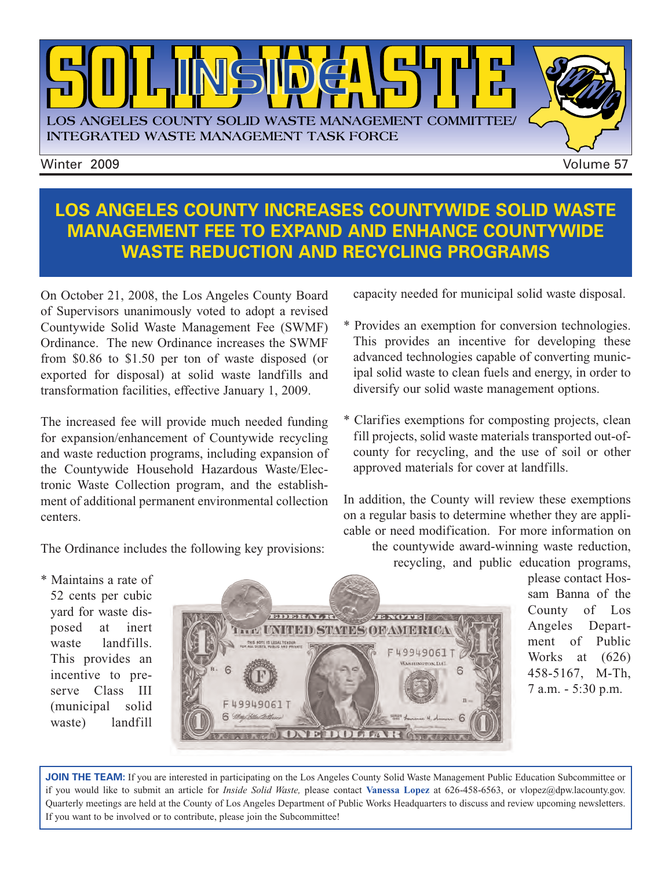

**LOS ANGELES COUNTY INCREASES COUNTYWIDE SOLID WASTE MANAGEMENT FEE TO EXPAND AND ENHANCE COUNTYWIDE WASTE REDUCTION AND RECYCLING PROGRAMS**

On October 21, 2008, the Los Angeles County Board of Supervisors unanimously voted to adopt a revised Countywide Solid Waste Management Fee (SWMF) Ordinance. The new Ordinance increases the SWMF from \$0.86 to \$1.50 per ton of waste disposed (or exported for disposal) at solid waste landfills and transformation facilities, effective January 1, 2009.

The increased fee will provide much needed funding for expansion/enhancement of Countywide recycling and waste reduction programs, including expansion of the Countywide Household Hazardous Waste/Electronic Waste Collection program, and the establishment of additional permanent environmental collection centers.

The Ordinance includes the following key provisions:

capacity needed for municipal solid waste disposal.

- \* Provides an exemption for conversion technologies. This provides an incentive for developing these advanced technologies capable of converting municipal solid waste to clean fuels and energy, in order to diversify our solid waste management options.
- \* Clarifies exemptions for composting projects, clean fill projects, solid waste materials transported out-ofcounty for recycling, and the use of soil or other approved materials for cover at landfills.

In addition, the County will review these exemptions on a regular basis to determine whether they are applicable or need modification. For more information on

the countywide award-winning waste reduction, recycling, and public education programs,

please contact Hossam Banna of the County of Los Angeles Department of Public Works at (626) 458-5167, M-Th, 7 a.m. - 5:30 p.m.

\* Maintains a rate of 52 cents per cubic yard for waste disposed at inert waste landfills. This provides an incentive to preserve Class III (municipal solid waste) landfill



**JOIN THE TEAM:** If you are interested in participating on the Los Angeles County Solid Waste Management Public Education Subcommittee or if you would like to submit an article for *Inside Solid Waste,* please contact **Vanessa Lopez** [at 626-458-6563, or vlopez@dpw.lacounty.gov.](mailto://vlopez@dpw.lacounty.gov) Quarterly meetings are held at the County of Los Angeles Department of Public Works Headquarters to discuss and review upcoming newsletters. If you want to be involved or to contribute, please join the Subcommittee!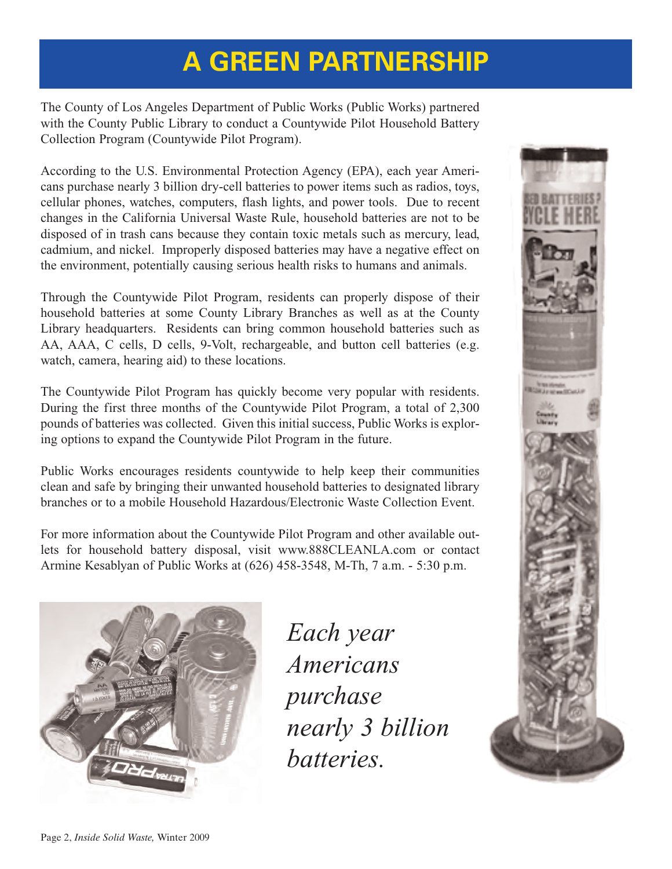# **A GREEN PARTNERSHIP**

The County of Los Angeles Department of Public Works (Public Works) partnered with the County Public Library to conduct a Countywide Pilot Household Battery Collection Program (Countywide Pilot Program).

According to the U.S. Environmental Protection Agency (EPA), each year Americans purchase nearly 3 billion dry-cell batteries to power items such as radios, toys, cellular phones, watches, computers, flash lights, and power tools. Due to recent changes in the California Universal Waste Rule, household batteries are not to be disposed of in trash cans because they contain toxic metals such as mercury, lead, cadmium, and nickel. Improperly disposed batteries may have a negative effect on the environment, potentially causing serious health risks to humans and animals.

Through the Countywide Pilot Program, residents can properly dispose of their household batteries at some County Library Branches as well as at the County Library headquarters. Residents can bring common household batteries such as AA, AAA, C cells, D cells, 9-Volt, rechargeable, and button cell batteries (e.g. watch, camera, hearing aid) to these locations.

The Countywide Pilot Program has quickly become very popular with residents. During the first three months of the Countywide Pilot Program, a total of 2,300 pounds of batteries was collected. Given this initial success, Public Works is exploring options to expand the Countywide Pilot Program in the future.

Public Works encourages residents countywide to help keep their communities clean and safe by bringing their unwanted household batteries to designated library branches or to a mobile Household Hazardous/Electronic Waste Collection Event.

For more information about the Countywide Pilot Program and other available outlets for [household battery disposal,](http://www.ehso.com/ehshome/batteries.php) vis[it www.888CLEANLA.com o](http://ladpw.org/epd/)r contact Armine Kesablyan of Public Works at (626) 458-3548, M-Th, 7 a.m. - 5:30 p.m.



*Each year Americans purchase nearly 3 billion batteries.* 

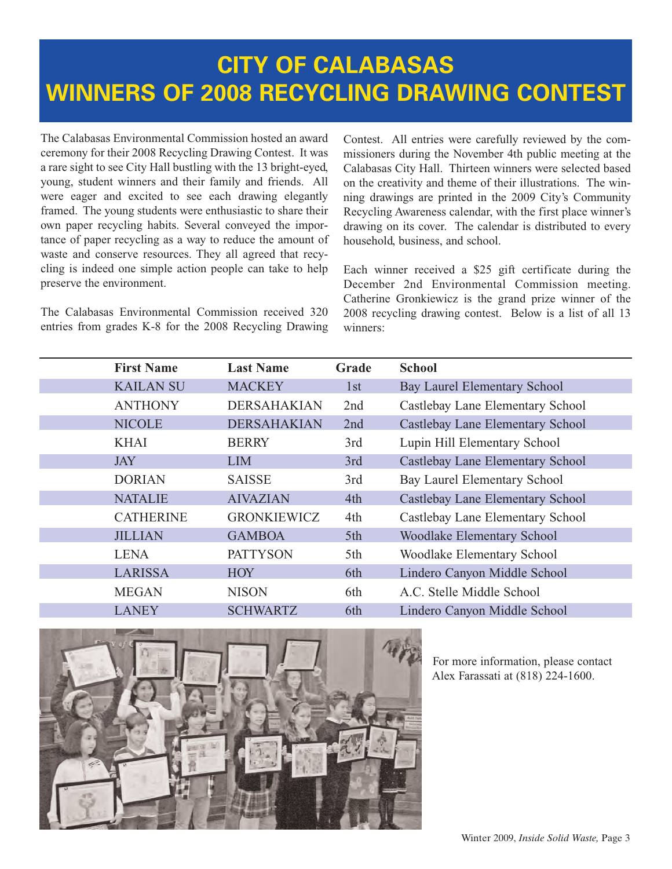# **[CITY OF CALABASAS](http://www.cityofcalabasas.com/) WINNERS OF 2008 RECYCLING DRAWING CONTEST**

The Calabasas Environmental Commission hosted an award ceremony for their 2008 Recycling Drawing Contest. It was a rare sight to see City Hall bustling with the 13 bright-eyed, young, student winners and their family and friends. All were eager and excited to see each drawing elegantly framed. The young students were enthusiastic to share their own paper recycling habits. Several conveyed the importance of paper recycling as a way to reduce the amount of waste and conserve resources. They all agreed that recycling is indeed one simple action people can take to help preserve the environment.

The Calabasas Environmental Commission received 320 entries from grades K-8 for the 2008 Recycling Drawing Contest. All entries were carefully reviewed by the commissioners during the November 4th public meeting at the Calabasas City Hall. Thirteen winners were selected based on the creativity and theme of their illustrations. The winning drawings are printed in the 2009 City's Community Recycling Awareness calendar, with the first place winner's drawing on its cover. The calendar is distributed to every household, business, and school.

Each winner received a \$25 gift certificate during the December 2nd Environmental Commission meeting. Catherine Gronkiewicz is the grand prize winner of the 2008 recycling drawing contest. Below is a list of all 13 winners:

| <b>First Name</b> | <b>Last Name</b>   | Grade | <b>School</b>                       |
|-------------------|--------------------|-------|-------------------------------------|
| <b>KAILAN SU</b>  | <b>MACKEY</b>      | 1st   | <b>Bay Laurel Elementary School</b> |
| <b>ANTHONY</b>    | <b>DERSAHAKIAN</b> | 2nd   | Castlebay Lane Elementary School    |
| <b>NICOLE</b>     | <b>DERSAHAKIAN</b> | 2nd   | Castlebay Lane Elementary School    |
| <b>KHAI</b>       | <b>BERRY</b>       | 3rd   | Lupin Hill Elementary School        |
| <b>JAY</b>        | <b>LIM</b>         | 3rd   | Castlebay Lane Elementary School    |
| <b>DORIAN</b>     | <b>SAISSE</b>      | 3rd   | Bay Laurel Elementary School        |
| <b>NATALIE</b>    | <b>AIVAZIAN</b>    | 4th   | Castlebay Lane Elementary School    |
| <b>CATHERINE</b>  | <b>GRONKIEWICZ</b> | 4th   | Castlebay Lane Elementary School    |
| <b>JILLIAN</b>    | <b>GAMBOA</b>      | 5th   | <b>Woodlake Elementary School</b>   |
| <b>LENA</b>       | <b>PATTYSON</b>    | 5th   | Woodlake Elementary School          |
| <b>LARISSA</b>    | <b>HOY</b>         | 6th   | Lindero Canyon Middle School        |
| <b>MEGAN</b>      | <b>NISON</b>       | 6th   | A.C. Stelle Middle School           |
| <b>LANEY</b>      | <b>SCHWARTZ</b>    | 6th   | Lindero Canyon Middle School        |



For more information, please contact Alex Farassati at (818) 224-1600.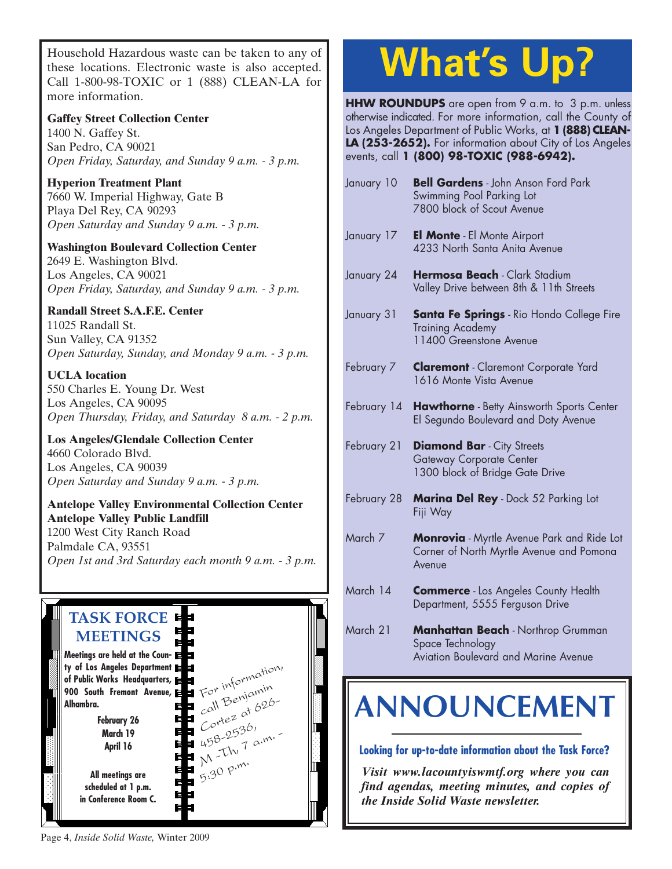Household Hazardous waste can be taken to any of these locations. Electronic waste is also accepted. Call 1-800-98-TOXIC or 1 (888) CLEAN-LA for more information.

**Gaffey Street Collection Center** 1400 N. Gaffey St. San Pedro, CA 90021 *Open Friday, Saturday, and Sunday 9 a.m. - 3 p.m.*

**Hyperion Treatment Plant** 7660 W. Imperial Highway, Gate B Playa Del Rey, CA 90293 *Open Saturday and Sunday 9 a.m. - 3 p.m.*

**Washington Boulevard Collection Center** 2649 E. Washington Blvd. Los Angeles, CA 90021 *Open Friday, Saturday, and Sunday 9 a.m. - 3 p.m.*

#### **Randall Street S.A.F.E. Center**

11025 Randall St. Sun Valley, CA 91352 *Open Saturday, Sunday, and Monday 9 a.m. - 3 p.m.*

**UCLA location** 550 Charles E. Young Dr. West Los Angeles, CA 90095 *[Open Thursday, Friday, and Saturday 8 a.m. - 2 p.m.](http://www.lacity.org/san/solid_resources/special/hhw/safe_centers/index.htm)*

**Los Angeles/Glendale Collection Center** 4660 Colorado Blvd. Los Angeles, CA 90039 *Open Saturday and Sunday 9 a.m. - 3 p.m.*

#### **Antelope Valley Environmental Collection Center Antelope Valley Public Landfill** 1200 West City Ranch Road Palmdale CA, 93551 *[Open 1st and 3rd Saturday each month 9 a.m. - 3 p.m.](http://ladpw.org/epd/avecc/index.cfm)*



# **What's Up?**

**HHW ROUNDUPS** are open from 9 a.m. to 3 p.m. unless otherwise indicated. For more information, call the County of Los Angeles Department of Public Works, at **1 (888) CLEAN-**LA (253-2652). For information about City of Los Angeles events, call **1 (800) 98-TOXIC (988-6942).**

| January 10  | <b>Bell Gardens</b> - John Anson Ford Park<br>Swimming Pool Parking Lot<br>7800 block of Scout Avenue   |  |  |
|-------------|---------------------------------------------------------------------------------------------------------|--|--|
| January 17  | <b>El Monte</b> - El Monte Airport<br>4233 North Santa Anita Avenue                                     |  |  |
| January 24  | Hermosa Beach - Clark Stadium<br>Valley Drive between 8th & 11th Streets                                |  |  |
| January 31  | <b>Santa Fe Springs</b> - Rio Hondo College Fire<br><b>Training Academy</b><br>11400 Greenstone Avenue  |  |  |
| February 7  | <b>Claremont</b> - Claremont Corporate Yard<br>1616 Monte Vista Avenue                                  |  |  |
| February 14 | Hawthorne - Betty Ainsworth Sports Center<br>El Segundo Boulevard and Doty Avenue                       |  |  |
| February 21 | <b>Diamond Bar</b> - City Streets<br>Gateway Corporate Center<br>1300 block of Bridge Gate Drive        |  |  |
| February 28 | Marina Del Rey - Dock 52 Parking Lot<br>Fiji Way                                                        |  |  |
| March 7     | <b>Monrovia</b> - Myrtle Avenue Park and Ride Lot<br>Corner of North Myrtle Avenue and Pomona<br>Avenue |  |  |
| March 14    | <b>Commerce</b> - Los Angeles County Health<br>Department, 5555 Ferguson Drive                          |  |  |
| March 21    | Manhattan Beach - Northrop Grumman<br>Space Technology<br>Aviation Boulevard and Marine Avenue          |  |  |
|             |                                                                                                         |  |  |

# **[ANNOUNCEMENT](http://dpw.lacounty.gov/epd/tf/)**

#### **Looking for up-to-date information about the Task Force?**

*Visit www.lacountyiswmtf.org where you can find agendas, meeting minutes, and copies of the Inside Solid Waste newsletter.*

Page 4, *Inside Solid Waste,* Winter 2009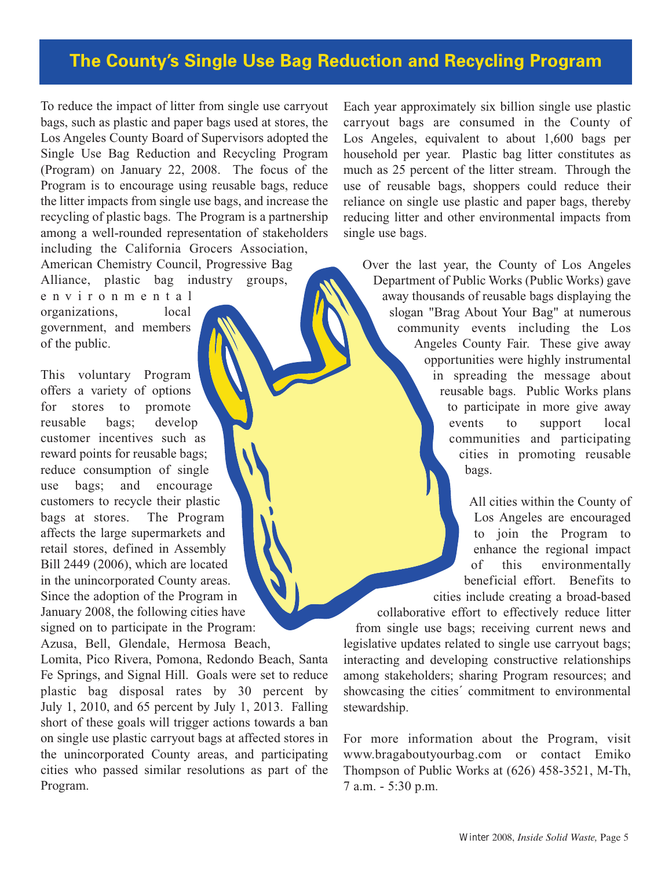#### **[The County's Single Use Bag Reduction and Recycling Program](http://www.bragaboutyourbag.com/)**

To reduce the impact of litter from single use carryout bags, such as plastic and paper bags used at stores, the Los Angeles County Board of Supervisors adopted the Single Use Bag Reduction and Recycling Program (Program) on January 22, 2008. The focus of the Program is to encourage using reusable bags, reduce the litter impacts from single use bags, and increase the recycling of plastic bags. The Program is a partnership among a well-rounded representation of stakeholders including the California Grocers Association, American Chemistry Council, Progressive Bag

Alliance, plastic bag industry groups, environmental organizations, local government, and members of the public.

This voluntary Program offers a variety of options for stores to promote reusable bags; develop customer incentives such as reward points for reusable bags; reduce consumption of single use bags; and encourage customers to recycle their plastic bags at stores. The Program affects the large supermarkets and retail stores, defined in Assembly Bill 2449 (2006), which are located in the unincorporated County areas. Since the adoption of the Program in January 2008, the following cities have signed on to participate in the Program: Azusa, Bell, Glendale, Hermosa Beach,

Lomita, Pico Rivera, Pomona, Redondo Beach, Santa Fe Springs, and Signal Hill. Goals were set to reduce plastic bag disposal rates by 30 percent by July 1, 2010, and 65 percent by July 1, 2013. Falling short of these goals will trigger actions towards a ban on single use plastic carryout bags at affected stores in the unincorporated County areas, and participating cities who passed similar resolutions as part of the Program.

Each year approximately six billion single use plastic carryout bags are consumed in the County of Los Angeles, equivalent to about 1,600 bags per household per year. Plastic bag litter constitutes as much as 25 percent of the litter stream. Through the use of reusable bags, shoppers could reduce their reliance on single use plastic and paper bags, thereby reducing litter and other environmental impacts from single use bags.

Over the last year, the County of Los Angeles Department of Public Works (Public Works) gave away thousands of reusable bags displaying the slogan "Brag About Your Bag" at numerous community events including the Los Angeles County Fair. These give away opportunities were highly instrumental in spreading the message about reusable bags. Public Works plans to participate in more give away events to support local communities and participating cities in promoting reusable bags.

> All cities within the County of Los Angeles are encouraged to join the Program to enhance the regional impact of this environmentally beneficial effort. Benefits to cities include creating a broad-based

collaborative effort to effectively reduce litter from single use bags; receiving current news and legislative updates related to single use carryout bags; interacting and developing constructive relationships among stakeholders; sharing Program resources; and showcasing the cities´ commitment to environmental stewardship.

For more information about the Program, visit [www.bragaboutyourbag.com](http://www.bragaboutyourbag.com/) or contact Emiko Thompson of Public Works at (626) 458-3521, M-Th, 7 a.m. - 5:30 p.m.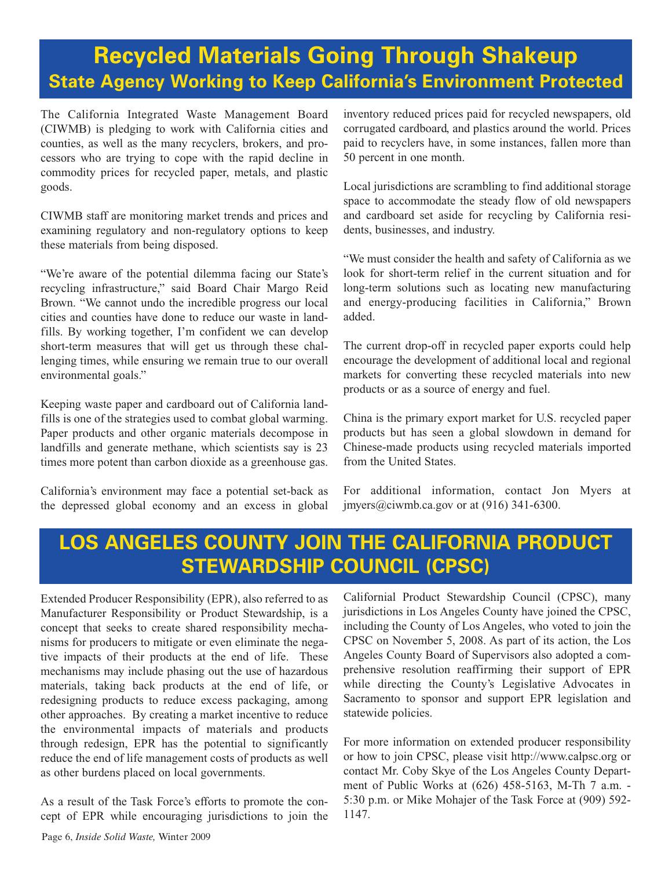## **Recycled Materials Going Through Shakeup State Agency Working to Keep California's Environment Protected**

The California Integrated Waste Management Board (CIWMB) is pledging to work with California cities and counties, as well as the many recyclers, brokers, and processors who are trying to cope with the rapid decline in commodity prices for recycled paper, metals, and plastic goods.

CIWMB staff are monitoring market trends and prices and examining regulatory and non-regulatory options to keep these materials from being disposed.

"We're aware of the potential dilemma facing our State's recycling infrastructure," said Board Chair Margo Reid Brown. "We cannot undo the incredible progress our local cities and counties have done to reduce our waste in landfills. By working together, I'm confident we can develop short-term measures that will get us through these challenging times, while ensuring we remain true to our overall environmental goals."

Keeping waste paper and cardboard out of California landfills is one of the strategies used to combat global warming. Paper products and other organic materials decompose in landfills and generate methane, which scientists say is 23 times more potent than carbon dioxide as a greenhouse gas.

California's environment may face a potential set-back as the depressed global economy and an excess in global inventory reduced prices paid for recycled newspapers, old corrugated cardboard, and plastics around the world. Prices paid to recyclers have, in some instances, fallen more than 50 percent in one month.

Local jurisdictions are scrambling to find additional storage space to accommodate the steady flow of old newspapers and cardboard set aside for recycling by California residents, businesses, and industry.

"We must consider the health and safety of California as we look for short-term relief in the current situation and for long-term solutions such as locating new manufacturing and energy-producing facilities in California," Brown added.

The current drop-off in recycled paper exports could help encourage the development of additional local and regional markets for converting these recycled materials into new products or as a source of energy and fuel.

China is the primary export market for U.S. recycled paper products but has seen a global slowdown in demand for Chinese-made products using recycled materials imported from the United States.

For additional information, contact Jon Myers at [jmyers@ciwmb.ca.gov or](mailto://jmyers@ciwmb.ca.gov) at (916) 341-6300.

### **[LOS ANGELES COUNTY JOIN THE CALIFORNIA PRODUCT](http://www.calpsc.org/) STEWARDSHIP COUNCIL (CPSC)**

Extended Producer Responsibility (EPR), also referred to as Manufacturer Responsibility or Product Stewardship, is a concept that seeks to create shared responsibility mechanisms for producers to mitigate or even eliminate the negative impacts of their products at the end of life. These mechanisms may include phasing out the use of hazardous materials, taking back products at the end of life, or redesigning products to reduce excess packaging, among other approaches. By creating a market incentive to reduce the environmental impacts of materials and products through redesign, EPR has the potential to significantly reduce the end of life management costs of products as well as other burdens placed on local governments.

As a result of the Task Force's efforts to promote the concept of EPR while encouraging jurisdictions to join the Californial Product Stewardship Council (CPSC), many jurisdictions in Los Angeles County have joined the CPSC, including the County of Los Angeles, who voted to join the CPSC on November 5, 2008. As part of its action, the Los Angeles County Board of Supervisors also adopted a comprehensive resolution reaffirming their support of EPR while directing the County's Legislative Advocates in Sacramento to sponsor and support EPR legislation and statewide policies.

For more information on extended producer responsibility or how to join CPSC, please visit [http://www.calpsc.org o](http://www.calpsc.org/)r contact Mr. Coby Skye of the Los Angeles County Department of Public Works at (626) 458-5163, M-Th 7 a.m. - 5:30 p.m. or Mike Mohajer of the Task Force at (909) 592- 1147.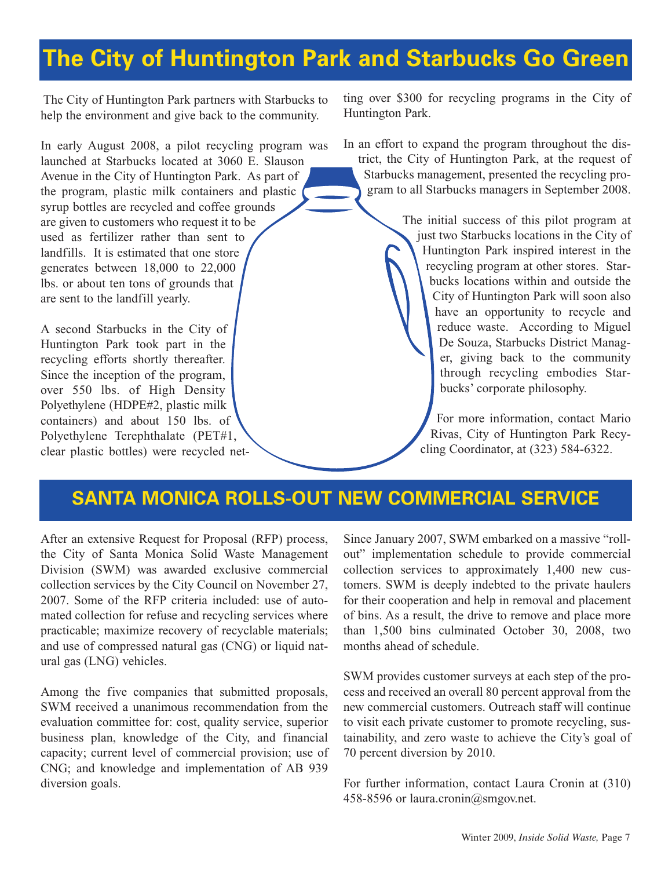# **The [City of Huntington Park](http://www.huntingtonpark.org/) and Starbucks Go Green**

The City of Huntington Park partners with Starbucks to help the environment and give back to the community.

In early August 2008, a pilot recycling program was launched at Starbucks located at 3060 E. Slauson Avenue in the City of Huntington Park. As part of the program, plastic milk containers and plastic syrup bottles are recycled and coffee grounds are given to customers who request it to be used as fertilizer rather than sent to landfills. It is estimated that one store generates between 18,000 to 22,000 lbs. or about ten tons of grounds that are sent to the landfill yearly.

A second Starbucks in the City of Huntington Park took part in the recycling efforts shortly thereafter. Since the inception of the program, over 550 lbs. of High Density Polyethylene (HDPE#2, plastic milk containers) and about 150 lbs. of Polyethylene Terephthalate (PET#1, clear plastic bottles) were recycled netting over \$300 for recycling programs in the City of Huntington Park.

In an effort to expand the program throughout the district, the City of Huntington Park, at the request of Starbucks management, presented the recycling program to all Starbucks managers in September 2008.

> The initial success of this pilot program at just two Starbucks locations in the City of Huntington Park inspired interest in the recycling program at other stores. Starbucks locations within and outside the City of Huntington Park will soon also have an opportunity to recycle and reduce waste. According to Miguel De Souza, Starbucks District Manager, giving back to the community through recycling embodies Starbucks' corporate philosophy.

For more information, contact Mario Rivas, City of Huntington Park Recycling Coordinator, at (323) 584-6322.

#### **SANTA [MONICA R](http://www.smgov.net/)OLLS-OUT NEW COMMERCIAL SERVICE**

After an extensive Request for Proposal (RFP) process, the City of Santa Monica Solid Waste Management Division (SWM) was awarded exclusive commercial collection services by the City Council on November 27, 2007. Some of the RFP criteria included: use of automated collection for refuse and recycling services where practicable; maximize recovery of recyclable materials; and use of compressed natural gas (CNG) or liquid natural gas (LNG) vehicles.

Among the five companies that submitted proposals, SWM received a unanimous recommendation from the evaluation committee for: cost, quality service, superior business plan, knowledge of the City, and financial capacity; current level of commercial provision; use of CNG; and knowledge and implementation of AB 939 diversion goals.

Since January 2007, SWM embarked on a massive "rollout" implementation schedule to provide commercial collection services to approximately 1,400 new customers. SWM is deeply indebted to the private haulers for their cooperation and help in removal and placement of bins. As a result, the drive to remove and place more than 1,500 bins culminated October 30, 2008, two months ahead of schedule.

SWM provides customer surveys at each step of the process and received an overall 80 percent approval from the new commercial customers. Outreach staff will continue to visit each private customer to promote recycling, sustainability, and zero waste to achieve the City's goal of 70 percent diversion by 2010.

For further information, contact Laura Cronin at (310) 458-8596 o[r laura.cronin@smgov.net.](mailto://laura.cronin@smgov.net.)